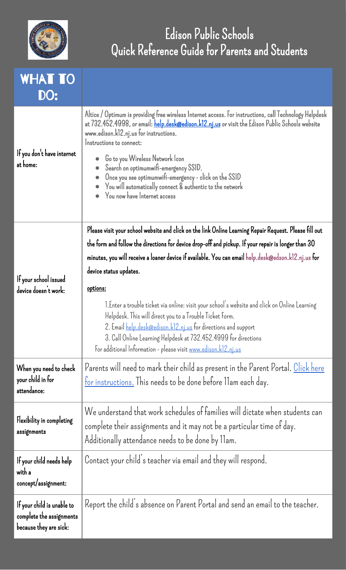

## Edison Public Schools Quick Reference Guide for Parents and Students

## WHAT TO DO:

| If you don't have internet<br>at home:                                           | Altice / Optimum is providing free wireless Internet access. For instructions, call Technology Helpdesk<br>at 732.452.4998, or email: help.desk@edison.k12.nj.us or visit the Edison Public Schools website<br>www.edison.k12.nj.us for instructions.<br>Instructions to connect:<br>Go to you Wireless Network Icon<br>Search on optimumwifi-emergency SSID.<br>Once you see optimumwifi-emergency - click on the SSID<br>You will automatically connect & authentic to the network<br>You now have Internet access                                                                                                                                                                                                                  |
|----------------------------------------------------------------------------------|---------------------------------------------------------------------------------------------------------------------------------------------------------------------------------------------------------------------------------------------------------------------------------------------------------------------------------------------------------------------------------------------------------------------------------------------------------------------------------------------------------------------------------------------------------------------------------------------------------------------------------------------------------------------------------------------------------------------------------------|
| If your school issued<br>device doesn't work:                                    | Please visit your school website and click on the link Online Learning Repair Request. Please fill out<br>the form and follow the directions for device drop-off and pickup. If your repair is longer than 30<br>minutes, you will receive a loaner device if available. You can email help.desk@edson.k12.nj.us for<br>device status updates.<br>options:<br>1.Enter a trouble ticket via online: visit your school's website and click on Online Learning<br>Helpdesk. This will direct you to a Trouble Ticket Form.<br>2. Email <u>help.desk@edison.k12.nj.us</u> for directions and support<br>3. Call Online Learning Helpdesk at 732.452.4999 for directions<br>For additional Information - please visit www.edison.k12.nj.us |
| When you need to check<br>your child in for<br>attendance:                       | Parents will need to mark their child as present in the Parent Portal. Click here<br><u>for instructions.</u> This needs to be done before llam each day.                                                                                                                                                                                                                                                                                                                                                                                                                                                                                                                                                                             |
| Flexibility in completing<br>assignments                                         | We understand that work schedules of families will dictate when students can<br>complete their assignments and it may not be a particular time of day.<br>Additionally attendance needs to be done by 11am.                                                                                                                                                                                                                                                                                                                                                                                                                                                                                                                           |
| If your child needs help<br>with a<br>concept/assignment:                        | Contact your child's teacher via email and they will respond.                                                                                                                                                                                                                                                                                                                                                                                                                                                                                                                                                                                                                                                                         |
| If your child is unable to<br>complete the assignments<br>because they are sick: | Report the child's absence on Parent Portal and send an email to the teacher.                                                                                                                                                                                                                                                                                                                                                                                                                                                                                                                                                                                                                                                         |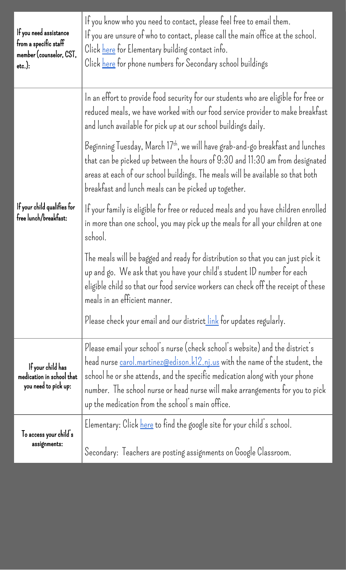| If you need assistance<br>from a specific staff<br>member (counselor, CST,<br>$etc.$ ): | If you know who you need to contact, please feel free to email them.<br>If you are unsure of who to contact, please call the main office at the school.<br>Click here for Elementary building contact info.<br>Click here for phone numbers for Secondary school buildings                                                                                                              |
|-----------------------------------------------------------------------------------------|-----------------------------------------------------------------------------------------------------------------------------------------------------------------------------------------------------------------------------------------------------------------------------------------------------------------------------------------------------------------------------------------|
| If your child qualifies for<br>free lunch/breakfast:                                    | In an effort to provide food security for our students who are eligible for free or<br>reduced meals, we have worked with our food service provider to make breakfast<br>and lunch available for pick up at our school buildings daily.                                                                                                                                                 |
|                                                                                         | Beginning Tuesday, March 17 <sup>th</sup> , we will have grab-and-go breakfast and lunches<br>that can be picked up between the hours of 9:30 and 11:30 am from designated<br>areas at each of our school buildings. The meals will be available so that both<br>breakfast and lunch meals can be picked up together.                                                                   |
|                                                                                         | If your family is eligible for free or reduced meals and you have children enrolled<br>in more than one school, you may pick up the meals for all your children at one<br>school.                                                                                                                                                                                                       |
|                                                                                         | The meals will be bagged and ready for distribution so that you can just pick it<br>up and go. We ask that you have your child's student ID number for each<br>eligible child so that our food service workers can check off the receipt of these<br>meals in an efficient manner.                                                                                                      |
|                                                                                         | Please check your email and our district link for updates regularly.                                                                                                                                                                                                                                                                                                                    |
| If your child has<br>medication in school that<br>you need to pick up:                  | Please email your school's nurse (check school's website) and the district's<br>head nurse <u>carol.martinez@edison.k12.nj.us</u> with the name of the student, the<br>school he or she attends, and the specific medication along with your phone<br>number. The school nurse or head nurse will make arrangements for you to pick<br>up the medication from the school's main office. |
| To access your child's<br>assignments:                                                  | Elementary: Click here to find the google site for your child's school.                                                                                                                                                                                                                                                                                                                 |
|                                                                                         | Secondary: Teachers are posting assignments on Google Classroom.                                                                                                                                                                                                                                                                                                                        |